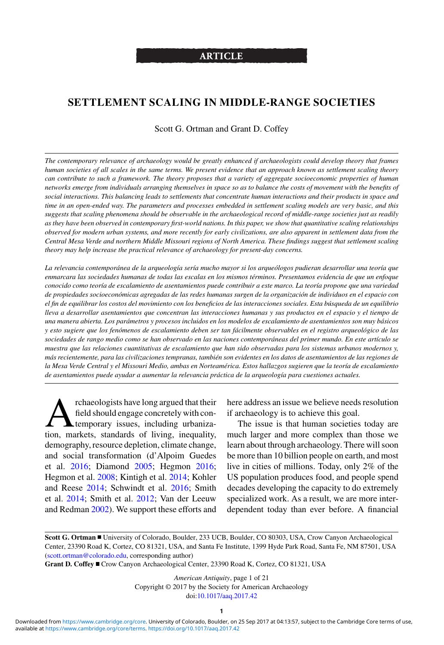# **ARTICLE**

# **SETTLEMENT SCALING IN MIDDLE-RANGE SOCIETIES**

### Scott G. Ortman and Grant D. Coffey

*The contemporary relevance of archaeology would be greatly enhanced if archaeologists could develop theory that frames human societies of all scales in the same terms. We present evidence that an approach known as settlement scaling theory can contribute to such a framework. The theory proposes that a variety of aggregate socioeconomic properties of human networks emerge from individuals arranging themselves in space so as to balance the costs of movement with the benefits of social interactions. This balancing leads to settlements that concentrate human interactions and their products in space and time in an open-ended way. The parameters and processes embedded in settlement scaling models are very basic, and this suggests that scaling phenomena should be observable in the archaeological record of middle-range societies just as readily as they have been observed in contemporary first-world nations. In this paper, we show that quantitative scaling relationships observed for modern urban systems, and more recently for early civilizations, are also apparent in settlement data from the Central Mesa Verde and northern Middle Missouri regions of North America. These findings suggest that settlement scaling theory may help increase the practical relevance of archaeology for present-day concerns.*

*La relevancia contemporánea de la arqueología sería mucho mayor si los arqueólogos pudieran desarrollar una teoría que enmarcara las sociedades humanas de todas las escalas en los mismos términos. Presentamos evidencia de que un enfoque conocido como teoría de escalamiento de asentamientos puede contribuir a este marco. La teoría propone que una variedad de propiedades socioeconómicas agregadas de las redes humanas surgen de la organización de individuos en el espacio con el fin de equilibrar los costos del movimiento con los beneficios de las interacciones sociales. Esta búsqueda de un equilibrio lleva a desarrollar asentamientos que concentran las interacciones humanas y sus productos en el espacio y el tiempo de una manera abierta. Los parámetros y procesos incluidos en los modelos de escalamiento de asentamientos son muy básicos y esto sugiere que los fenómenos de escalamiento deben ser tan fácilmente observables en el registro arqueológico de las sociedades de rango medio como se han observado en las naciones contemporáneas del primer mundo. En este artículo se muestra que las relaciones cuantitativas de escalamiento que han sido observadas para los sistemas urbanos modernos y, más recientemente, para las civilizaciones tempranas, también son evidentes en los datos de asentamientos de las regiones de la Mesa Verde Central y el Missouri Medio, ambas en Norteamérica. Estos hallazgos sugieren que la teoría de escalamiento de asentamientos puede ayudar a aumentar la relevancia práctica de la arqueología para cuestiones actuales.*

The rehaeologists have long argued that their<br>field should engage concretely with con-<br>temporary issues, including urbaniza-<br>tion markets standards of living inequality field should engage concretely with contemporary issues, including urbanization, markets, standards of living, inequality, demography, resource depletion, climate change, and social transformation (d'Alpoim Guedes et al. [2016;](#page-17-0) Diamond [2005;](#page-17-0) Hegmon [2016;](#page-18-0) Hegmon et al. [2008;](#page-18-0) Kintigh et al. [2014;](#page-18-0) Kohler and Reese [2014;](#page-18-0) Schwindt et al. [2016;](#page-19-0) Smith et al. [2014;](#page-19-0) Smith et al. [2012;](#page-19-0) Van der Leeuw and Redman [2002\)](#page-19-0). We support these efforts and

here address an issue we believe needs resolution if archaeology is to achieve this goal.

The issue is that human societies today are much larger and more complex than those we learn about through archaeology. There will soon be more than 10 billion people on earth, and most live in cities of millions. Today, only 2% of the US population produces food, and people spend decades developing the capacity to do extremely specialized work. As a result, we are more interdependent today than ever before. A financial

Grant D. Coffey Crow Canyon Archaeological Center, 23390 Road K, Cortez, CO 81321, USA

*American Antiquity*, page 1 of 21 Copyright © 2017 by the Society for American Archaeology doi[:10.1017/aaq.2017.42](https://doi.org/10.1017/aaq.2017.42)

**Scott G. Ortman ■** University of Colorado, Boulder, 233 UCB, Boulder, CO 80303, USA, Crow Canyon Archaeological Center, 23390 Road K, Cortez, CO 81321, USA, and Santa Fe Institute, 1399 Hyde Park Road, Santa Fe, NM 87501, USA [\(scott.ortman@colorado.edu,](mailto:scott.ortman@colorado.edu) corresponding author)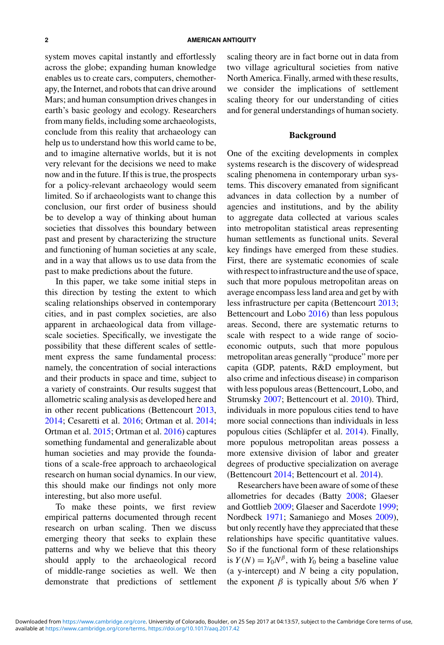system moves capital instantly and effortlessly across the globe; expanding human knowledge enables us to create cars, computers, chemotherapy, the Internet, and robots that can drive around Mars; and human consumption drives changes in earth's basic geology and ecology. Researchers from many fields, including some archaeologists, conclude from this reality that archaeology can help us to understand how this world came to be, and to imagine alternative worlds, but it is not very relevant for the decisions we need to make now and in the future. If this is true, the prospects for a policy-relevant archaeology would seem limited. So if archaeologists want to change this conclusion, our first order of business should be to develop a way of thinking about human societies that dissolves this boundary between past and present by characterizing the structure and functioning of human societies at any scale, and in a way that allows us to use data from the past to make predictions about the future.

In this paper, we take some initial steps in this direction by testing the extent to which scaling relationships observed in contemporary cities, and in past complex societies, are also apparent in archaeological data from villagescale societies. Specifically, we investigate the possibility that these different scales of settlement express the same fundamental process: namely, the concentration of social interactions and their products in space and time, subject to a variety of constraints. Our results suggest that allometric scaling analysis as developed here and in other recent publications (Bettencourt [2013,](#page-17-0) [2014;](#page-17-0) Cesaretti et al. [2016;](#page-17-0) Ortman et al. [2014;](#page-19-0) Ortman et al. [2015;](#page-19-0) Ortman et al. [2016\)](#page-19-0) captures something fundamental and generalizable about human societies and may provide the foundations of a scale-free approach to archaeological research on human social dynamics. In our view, this should make our findings not only more interesting, but also more useful.

To make these points, we first review empirical patterns documented through recent research on urban scaling. Then we discuss emerging theory that seeks to explain these patterns and why we believe that this theory should apply to the archaeological record of middle-range societies as well. We then demonstrate that predictions of settlement

scaling theory are in fact borne out in data from two village agricultural societies from native North America. Finally, armed with these results, we consider the implications of settlement scaling theory for our understanding of cities and for general understandings of human society.

# **Background**

One of the exciting developments in complex systems research is the discovery of widespread scaling phenomena in contemporary urban systems. This discovery emanated from significant advances in data collection by a number of agencies and institutions, and by the ability to aggregate data collected at various scales into metropolitan statistical areas representing human settlements as functional units. Several key findings have emerged from these studies. First, there are systematic economies of scale with respect to infrastructure and the use of space, such that more populous metropolitan areas on average encompass less land area and get by with less infrastructure per capita (Bettencourt [2013;](#page-17-0) Bettencourt and Lobo [2016\)](#page-17-0) than less populous areas. Second, there are systematic returns to scale with respect to a wide range of socioeconomic outputs, such that more populous metropolitan areas generally "produce" more per capita (GDP, patents, R&D employment, but also crime and infectious disease) in comparison with less populous areas (Bettencourt, Lobo, and Strumsky [2007;](#page-17-0) Bettencourt et al. [2010\)](#page-17-0). Third, individuals in more populous cities tend to have more social connections than individuals in less populous cities (Schläpfer et al. [2014\)](#page-19-0). Finally, more populous metropolitan areas possess a more extensive division of labor and greater degrees of productive specialization on average (Bettencourt [2014;](#page-17-0) Bettencourt et al. [2014\)](#page-17-0).

Researchers have been aware of some of these allometries for decades (Batty [2008;](#page-17-0) Glaeser and Gottlieb [2009;](#page-18-0) Glaeser and Sacerdote [1999;](#page-18-0) Nordbeck [1971;](#page-19-0) Samaniego and Moses [2009\)](#page-19-0), but only recently have they appreciated that these relationships have specific quantitative values. So if the functional form of these relationships is  $Y(N) = Y_0 N^{\beta}$ , with  $Y_0$  being a baseline value (a y-intercept) and *N* being a city population, the exponent  $\beta$  is typically about 5/6 when *Y*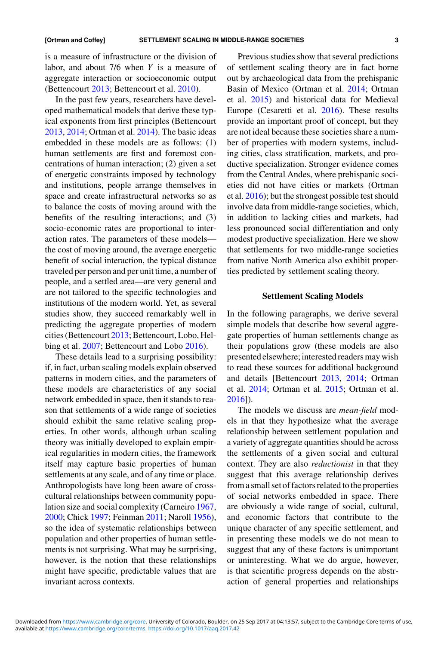is a measure of infrastructure or the division of labor, and about 7/6 when *Y* is a measure of aggregate interaction or socioeconomic output (Bettencourt [2013;](#page-17-0) Bettencourt et al. [2010\)](#page-17-0).

In the past few years, researchers have developed mathematical models that derive these typical exponents from first principles (Bettencourt [2013,](#page-17-0) [2014;](#page-17-0) Ortman et al. [2014\)](#page-19-0). The basic ideas embedded in these models are as follows: (1) human settlements are first and foremost concentrations of human interaction; (2) given a set of energetic constraints imposed by technology and institutions, people arrange themselves in space and create infrastructural networks so as to balance the costs of moving around with the benefits of the resulting interactions; and (3) socio-economic rates are proportional to interaction rates. The parameters of these models the cost of moving around, the average energetic benefit of social interaction, the typical distance traveled per person and per unit time, a number of people, and a settled area—are very general and are not tailored to the specific technologies and institutions of the modern world. Yet, as several studies show, they succeed remarkably well in predicting the aggregate properties of modern cities (Bettencourt [2013;](#page-17-0) Bettencourt, Lobo, Helbing et al. [2007;](#page-17-0) Bettencourt and Lobo [2016\)](#page-17-0).

These details lead to a surprising possibility: if, in fact, urban scaling models explain observed patterns in modern cities, and the parameters of these models are characteristics of any social network embedded in space, then it stands to reason that settlements of a wide range of societies should exhibit the same relative scaling properties. In other words, although urban scaling theory was initially developed to explain empirical regularities in modern cities, the framework itself may capture basic properties of human settlements at any scale, and of any time or place. Anthropologists have long been aware of crosscultural relationships between community population size and social complexity (Carneiro [1967,](#page-17-0) [2000;](#page-17-0) Chick [1997;](#page-17-0) Feinman [2011;](#page-18-0) Naroll [1956\)](#page-19-0), so the idea of systematic relationships between population and other properties of human settlements is not surprising. What may be surprising, however, is the notion that these relationships might have specific, predictable values that are invariant across contexts.

Previous studies show that several predictions of settlement scaling theory are in fact borne out by archaeological data from the prehispanic Basin of Mexico (Ortman et al. [2014;](#page-19-0) Ortman et al. [2015\)](#page-19-0) and historical data for Medieval Europe (Cesaretti et al. [2016\)](#page-17-0). These results provide an important proof of concept, but they are not ideal because these societies share a number of properties with modern systems, including cities, class stratification, markets, and productive specialization. Stronger evidence comes from the Central Andes, where prehispanic societies did not have cities or markets (Ortman et al. [2016\)](#page-19-0); but the strongest possible test should involve data from middle-range societies, which, in addition to lacking cities and markets, had less pronounced social differentiation and only modest productive specialization. Here we show that settlements for two middle-range societies from native North America also exhibit properties predicted by settlement scaling theory.

### **Settlement Scaling Models**

In the following paragraphs, we derive several simple models that describe how several aggregate properties of human settlements change as their populations grow (these models are also presented elsewhere; interested readers may wish to read these sources for additional background and details [Bettencourt [2013,](#page-17-0) [2014;](#page-17-0) Ortman et al. [2014;](#page-19-0) Ortman et al. [2015;](#page-19-0) Ortman et al. [2016\]](#page-19-0)).

The models we discuss are *mean-field* models in that they hypothesize what the average relationship between settlement population and a variety of aggregate quantities should be across the settlements of a given social and cultural context. They are also *reductionist* in that they suggest that this average relationship derives from a small set of factors related to the properties of social networks embedded in space. There are obviously a wide range of social, cultural, and economic factors that contribute to the unique character of any specific settlement, and in presenting these models we do not mean to suggest that any of these factors is unimportant or uninteresting. What we do argue, however, is that scientific progress depends on the abstraction of general properties and relationships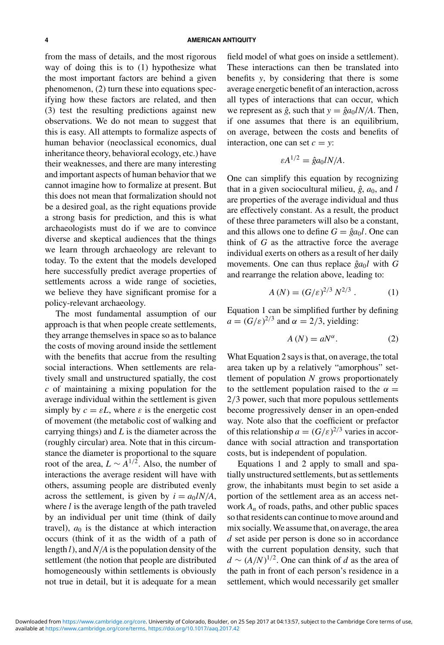#### **4 AMERICAN ANTIQUITY**

from the mass of details, and the most rigorous way of doing this is to (1) hypothesize what the most important factors are behind a given phenomenon, (2) turn these into equations specifying how these factors are related, and then (3) test the resulting predictions against new observations. We do not mean to suggest that this is easy. All attempts to formalize aspects of human behavior (neoclassical economics, dual inheritance theory, behavioral ecology, etc.) have their weaknesses, and there are many interesting and important aspects of human behavior that we cannot imagine how to formalize at present. But this does not mean that formalization should not be a desired goal, as the right equations provide a strong basis for prediction, and this is what archaeologists must do if we are to convince diverse and skeptical audiences that the things we learn through archaeology are relevant to today. To the extent that the models developed here successfully predict average properties of settlements across a wide range of societies, we believe they have significant promise for a policy-relevant archaeology.

The most fundamental assumption of our approach is that when people create settlements, they arrange themselves in space so as to balance the costs of moving around inside the settlement with the benefits that accrue from the resulting social interactions. When settlements are relatively small and unstructured spatially, the cost *c* of maintaining a mixing population for the average individual within the settlement is given simply by  $c = \varepsilon L$ , where  $\varepsilon$  is the energetic cost of movement (the metabolic cost of walking and carrying things) and *L* is the diameter across the (roughly circular) area. Note that in this circumstance the diameter is proportional to the square root of the area,  $L \sim A^{1/2}$ . Also, the number of interactions the average resident will have with others, assuming people are distributed evenly across the settlement, is given by  $i = a_0 l N/A$ , where *l* is the average length of the path traveled by an individual per unit time (think of daily travel),  $a_0$  is the distance at which interaction occurs (think of it as the width of a path of length *l*), and *N*/*A* is the population density of the settlement (the notion that people are distributed homogeneously within settlements is obviously not true in detail, but it is adequate for a mean

field model of what goes on inside a settlement). These interactions can then be translated into benefits *y*, by considering that there is some average energetic benefit of an interaction, across all types of interactions that can occur, which we represent as  $\hat{g}$ , such that  $y = \hat{g}a_0/N/A$ . Then, if one assumes that there is an equilibrium, on average, between the costs and benefits of interaction, one can set  $c = y$ :

$$
\varepsilon A^{1/2} = \hat{g} a_0 I N/A.
$$

One can simplify this equation by recognizing that in a given sociocultural milieu,  $\hat{g}$ ,  $a_0$ , and *l* are properties of the average individual and thus are effectively constant. As a result, the product of these three parameters will also be a constant, and this allows one to define  $G = \hat{g} a_0 l$ . One can think of *G* as the attractive force the average individual exerts on others as a result of her daily movements. One can thus replace  $\hat{g}a_0l$  with G and rearrange the relation above, leading to:

$$
A (N) = (G/\varepsilon)^{2/3} N^{2/3} . \tag{1}
$$

Equation 1 can be simplified further by defining  $a = (G/\varepsilon)^{2/3}$  and  $\alpha = 2/3$ , yielding:

$$
A(N) = aN^{\alpha}.
$$
 (2)

What Equation 2 says is that, on average, the total area taken up by a relatively "amorphous" settlement of population *N* grows proportionately to the settlement population raised to the  $\alpha =$ 2/3 power, such that more populous settlements become progressively denser in an open-ended way. Note also that the coefficient or prefactor of this relationship  $a = (G/\varepsilon)^{2/3}$  varies in accordance with social attraction and transportation costs, but is independent of population.

Equations 1 and 2 apply to small and spatially unstructured settlements, but as settlements grow, the inhabitants must begin to set aside a portion of the settlement area as an access network  $A_n$  of roads, paths, and other public spaces so that residents can continue to move around and mix socially.We assume that, on average, the area *d* set aside per person is done so in accordance with the current population density, such that  $d \sim (A/N)^{1/2}$ . One can think of *d* as the area of the path in front of each person's residence in a settlement, which would necessarily get smaller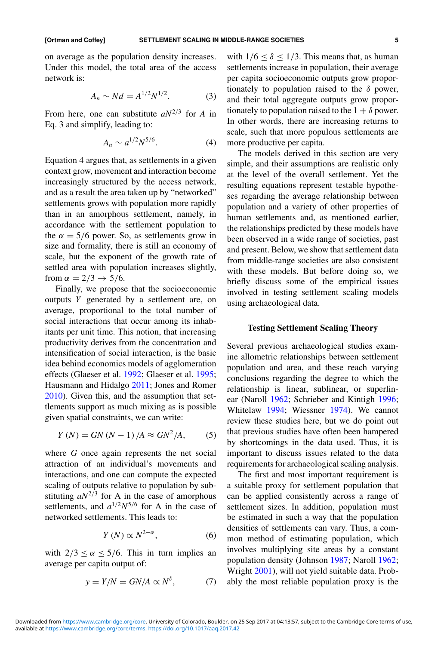#### **[Ortman and Coffey] SETTLEMENT SCALING IN MIDDLE-RANGE SOCIETIES 5**

on average as the population density increases. Under this model, the total area of the access network is:

$$
A_n \sim Nd = A^{1/2} N^{1/2}.
$$
 (3)

From here, one can substitute  $aN^{2/3}$  for *A* in Eq. 3 and simplify, leading to:

$$
A_n \sim a^{1/2} N^{5/6}.
$$
 (4)

Equation 4 argues that, as settlements in a given context grow, movement and interaction become increasingly structured by the access network, and as a result the area taken up by "networked" settlements grows with population more rapidly than in an amorphous settlement, namely, in accordance with the settlement population to the  $\alpha = 5/6$  power. So, as settlements grow in size and formality, there is still an economy of scale, but the exponent of the growth rate of settled area with population increases slightly, from  $\alpha = 2/3 \rightarrow 5/6$ .

Finally, we propose that the socioeconomic outputs *Y* generated by a settlement are, on average, proportional to the total number of social interactions that occur among its inhabitants per unit time. This notion, that increasing productivity derives from the concentration and intensification of social interaction, is the basic idea behind economics models of agglomeration effects (Glaeser et al. [1992;](#page-18-0) Glaeser et al. [1995;](#page-18-0) Hausmann and Hidalgo [2011;](#page-18-0) Jones and Romer [2010\)](#page-18-0). Given this, and the assumption that settlements support as much mixing as is possible given spatial constraints, we can write:

$$
Y(N) = GN (N - 1) / A \approx GN^2 / A,
$$
 (5)

where *G* once again represents the net social attraction of an individual's movements and interactions, and one can compute the expected scaling of outputs relative to population by substituting  $aN^{2/3}$  for A in the case of amorphous settlements, and  $a^{1/2}N^{5/6}$  for A in the case of networked settlements. This leads to:

$$
Y(N) \propto N^{2-\alpha},\tag{6}
$$

with  $2/3 \le \alpha \le 5/6$ . This in turn implies an average per capita output of:

$$
y = Y/N = GN/A \propto N^{\delta}, \tag{7}
$$

with  $1/6 \le \delta \le 1/3$ . This means that, as human settlements increase in population, their average per capita socioeconomic outputs grow proportionately to population raised to the  $\delta$  power, and their total aggregate outputs grow proportionately to population raised to the  $1 + \delta$  power. In other words, there are increasing returns to scale, such that more populous settlements are more productive per capita.

The models derived in this section are very simple, and their assumptions are realistic only at the level of the overall settlement. Yet the resulting equations represent testable hypotheses regarding the average relationship between population and a variety of other properties of human settlements and, as mentioned earlier, the relationships predicted by these models have been observed in a wide range of societies, past and present. Below, we show that settlement data from middle-range societies are also consistent with these models. But before doing so, we briefly discuss some of the empirical issues involved in testing settlement scaling models using archaeological data.

# **Testing Settlement Scaling Theory**

Several previous archaeological studies examine allometric relationships between settlement population and area, and these reach varying conclusions regarding the degree to which the relationship is linear, sublinear, or superlinear (Naroll [1962;](#page-19-0) Schrieber and Kintigh [1996;](#page-19-0) Whitelaw [1994;](#page-19-0) Wiessner [1974\)](#page-19-0). We cannot review these studies here, but we do point out that previous studies have often been hampered by shortcomings in the data used. Thus, it is important to discuss issues related to the data requirements for archaeological scaling analysis.

The first and most important requirement is a suitable proxy for settlement population that can be applied consistently across a range of settlement sizes. In addition, population must be estimated in such a way that the population densities of settlements can vary. Thus, a common method of estimating population, which involves multiplying site areas by a constant population density (Johnson [1987;](#page-18-0) Naroll [1962;](#page-19-0) Wright [2001\)](#page-20-0), will not yield suitable data. Probably the most reliable population proxy is the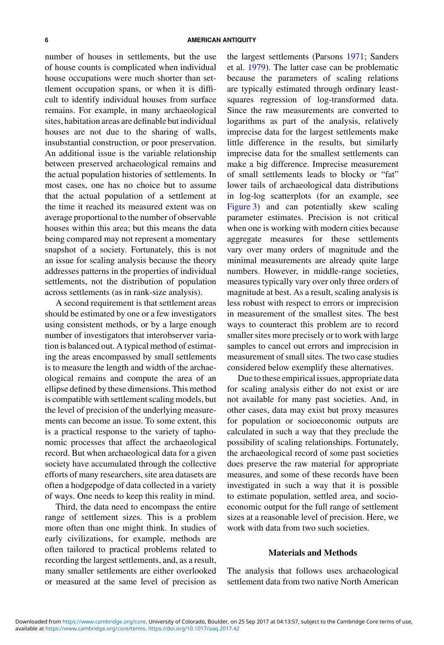number of houses in settlements, but the use of house counts is complicated when individual house occupations were much shorter than settlement occupation spans, or when it is difficult to identify individual houses from surface remains. For example, in many archaeological sites, habitation areas are definable but individual houses are not due to the sharing of walls, insubstantial construction, or poor preservation. An additional issue is the variable relationship between preserved archaeological remains and the actual population histories of settlements. In most cases, one has no choice but to assume that the actual population of a settlement at the time it reached its measured extent was on average proportional to the number of observable houses within this area; but this means the data being compared may not represent a momentary snapshot of a society. Fortunately, this is not an issue for scaling analysis because the theory addresses patterns in the properties of individual settlements, not the distribution of population across settlements (as in rank-size analysis).

A second requirement is that settlement areas should be estimated by one or a few investigators using consistent methods, or by a large enough number of investigators that interobserver variation is balanced out. A typical method of estimating the areas encompassed by small settlements is to measure the length and width of the archaeological remains and compute the area of an ellipse defined by these dimensions. This method is compatible with settlement scaling models, but the level of precision of the underlying measurements can become an issue. To some extent, this is a practical response to the variety of taphonomic processes that affect the archaeological record. But when archaeological data for a given society have accumulated through the collective efforts of many researchers, site area datasets are often a hodgepodge of data collected in a variety of ways. One needs to keep this reality in mind.

Third, the data need to encompass the entire range of settlement sizes. This is a problem more often than one might think. In studies of early civilizations, for example, methods are often tailored to practical problems related to recording the largest settlements, and, as a result, many smaller settlements are either overlooked or measured at the same level of precision as the largest settlements (Parsons [1971;](#page-19-0) Sanders et al. [1979\)](#page-19-0). The latter case can be problematic because the parameters of scaling relations are typically estimated through ordinary leastsquares regression of log-transformed data. Since the raw measurements are converted to logarithms as part of the analysis, relatively imprecise data for the largest settlements make little difference in the results, but similarly imprecise data for the smallest settlements can make a big difference. Imprecise measurement of small settlements leads to blocky or "fat" lower tails of archaeological data distributions in log-log scatterplots (for an example, see [Figure 3\)](#page-13-0) and can potentially skew scaling parameter estimates. Precision is not critical when one is working with modern cities because aggregate measures for these settlements vary over many orders of magnitude and the minimal measurements are already quite large numbers. However, in middle-range societies, measures typically vary over only three orders of magnitude at best. As a result, scaling analysis is less robust with respect to errors or imprecision in measurement of the smallest sites. The best ways to counteract this problem are to record smaller sites more precisely or to work with large samples to cancel out errors and imprecision in measurement of small sites. The two case studies considered below exemplify these alternatives.

Due to these empirical issues, appropriate data for scaling analysis either do not exist or are not available for many past societies. And, in other cases, data may exist but proxy measures for population or socioeconomic outputs are calculated in such a way that they preclude the possibility of scaling relationships. Fortunately, the archaeological record of some past societies does preserve the raw material for appropriate measures, and some of these records have been investigated in such a way that it is possible to estimate population, settled area, and socioeconomic output for the full range of settlement sizes at a reasonable level of precision. Here, we work with data from two such societies.

### **Materials and Methods**

The analysis that follows uses archaeological settlement data from two native North American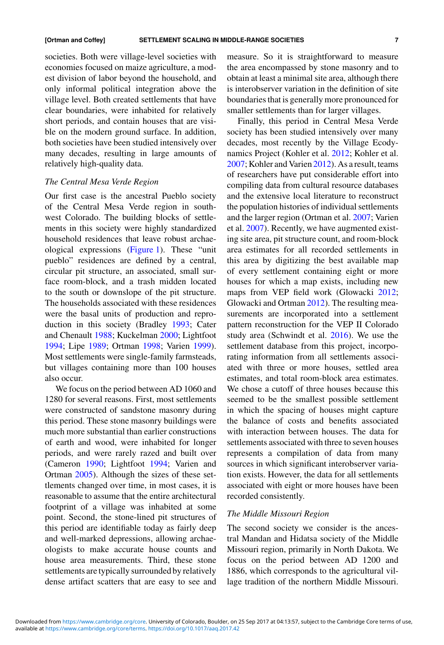societies. Both were village-level societies with economies focused on maize agriculture, a modest division of labor beyond the household, and only informal political integration above the village level. Both created settlements that have clear boundaries, were inhabited for relatively short periods, and contain houses that are visible on the modern ground surface. In addition, both societies have been studied intensively over many decades, resulting in large amounts of relatively high-quality data.

### *The Central Mesa Verde Region*

Our first case is the ancestral Pueblo society of the Central Mesa Verde region in southwest Colorado. The building blocks of settlements in this society were highly standardized household residences that leave robust archaeological expressions [\(Figure 1\)](#page-7-0). These "unit pueblo" residences are defined by a central, circular pit structure, an associated, small surface room-block, and a trash midden located to the south or downslope of the pit structure. The households associated with these residences were the basal units of production and reproduction in this society (Bradley [1993;](#page-17-0) Cater and Chenault [1988;](#page-17-0) Kuckelman [2000;](#page-18-0) Lightfoot [1994;](#page-18-0) Lipe [1989;](#page-18-0) Ortman [1998;](#page-19-0) Varien [1999\)](#page-19-0). Most settlements were single-family farmsteads, but villages containing more than 100 houses also occur.

We focus on the period between AD 1060 and 1280 for several reasons. First, most settlements were constructed of sandstone masonry during this period. These stone masonry buildings were much more substantial than earlier constructions of earth and wood, were inhabited for longer periods, and were rarely razed and built over (Cameron [1990;](#page-17-0) Lightfoot [1994;](#page-18-0) Varien and Ortman [2005\)](#page-19-0). Although the sizes of these settlements changed over time, in most cases, it is reasonable to assume that the entire architectural footprint of a village was inhabited at some point. Second, the stone-lined pit structures of this period are identifiable today as fairly deep and well-marked depressions, allowing archaeologists to make accurate house counts and house area measurements. Third, these stone settlements are typically surrounded by relatively dense artifact scatters that are easy to see and measure. So it is straightforward to measure the area encompassed by stone masonry and to obtain at least a minimal site area, although there is interobserver variation in the definition of site boundaries that is generally more pronounced for smaller settlements than for larger villages.

Finally, this period in Central Mesa Verde society has been studied intensively over many decades, most recently by the Village Ecodynamics Project (Kohler et al. [2012;](#page-18-0) Kohler et al. [2007;](#page-18-0) Kohler and Varien [2012\)](#page-18-0). As a result, teams of researchers have put considerable effort into compiling data from cultural resource databases and the extensive local literature to reconstruct the population histories of individual settlements and the larger region (Ortman et al. [2007;](#page-19-0) Varien et al. [2007\)](#page-19-0). Recently, we have augmented existing site area, pit structure count, and room-block area estimates for all recorded settlements in this area by digitizing the best available map of every settlement containing eight or more houses for which a map exists, including new maps from VEP field work (Glowacki [2012;](#page-18-0) Glowacki and Ortman [2012\)](#page-18-0). The resulting measurements are incorporated into a settlement pattern reconstruction for the VEP II Colorado study area (Schwindt et al. [2016\)](#page-19-0). We use the settlement database from this project, incorporating information from all settlements associated with three or more houses, settled area estimates, and total room-block area estimates. We chose a cutoff of three houses because this seemed to be the smallest possible settlement in which the spacing of houses might capture the balance of costs and benefits associated with interaction between houses. The data for settlements associated with three to seven houses represents a compilation of data from many sources in which significant interobserver variation exists. However, the data for all settlements associated with eight or more houses have been recorded consistently.

# *The Middle Missouri Region*

The second society we consider is the ancestral Mandan and Hidatsa society of the Middle Missouri region, primarily in North Dakota. We focus on the period between AD 1200 and 1886, which corresponds to the agricultural village tradition of the northern Middle Missouri.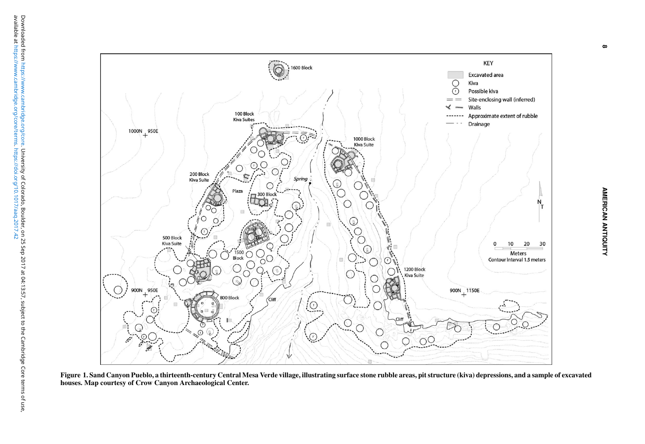<span id="page-7-0"></span>

Figure 1. Sand Canyon Pueblo, a thirteenth-century Central Mesa Verde village, illustrating surface stone rubble areas, pit structure (kiva) depressions, and a sample of excavated **houses. Map courtesy of Crow Canyon Archaeological Center.**

N

30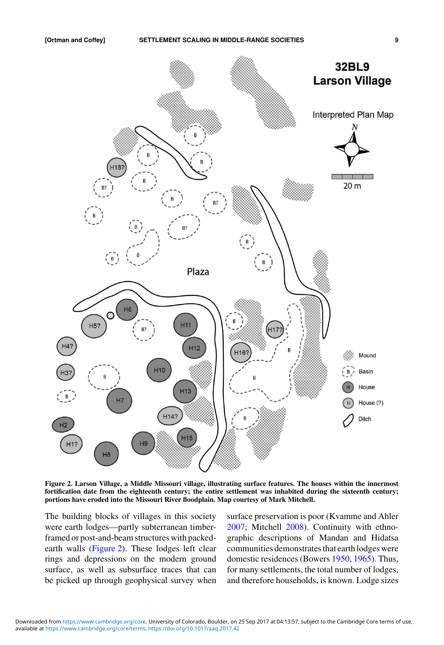<span id="page-8-0"></span>

**Figure 2. Larson Village, a Middle Missouri village, illustrating surface features. The houses within the innermost fortification date from the eighteenth century; the entire settlement was inhabited during the sixteenth century; portions have eroded into the Missouri River floodplain. Map courtesy of Mark Mitchell.**

The building blocks of villages in this society were earth lodges—partly subterranean timberframed or post-and-beam structures with packedearth walls (Figure 2). These lodges left clear rings and depressions on the modern ground surface, as well as subsurface traces that can be picked up through geophysical survey when surface preservation is poor (Kvamme and Ahler [2007;](#page-18-0) Mitchell [2008\)](#page-19-0). Continuity with ethnographic descriptions of Mandan and Hidatsa communities demonstrates that earth lodges were domestic residences (Bowers [1950,](#page-17-0) [1965\)](#page-17-0). Thus, for many settlements, the total number of lodges, and therefore households, is known. Lodge sizes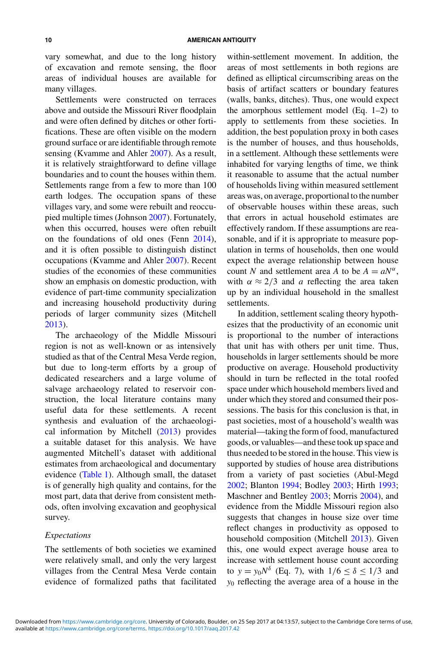#### **10 AMERICAN ANTIQUITY**

vary somewhat, and due to the long history of excavation and remote sensing, the floor areas of individual houses are available for many villages.

Settlements were constructed on terraces above and outside the Missouri River floodplain and were often defined by ditches or other fortifications. These are often visible on the modern ground surface or are identifiable through remote sensing (Kvamme and Ahler [2007\)](#page-18-0). As a result, it is relatively straightforward to define village boundaries and to count the houses within them. Settlements range from a few to more than 100 earth lodges. The occupation spans of these villages vary, and some were rebuilt and reoccupied multiple times (Johnson [2007\)](#page-18-0). Fortunately, when this occurred, houses were often rebuilt on the foundations of old ones (Fenn [2014\)](#page-18-0), and it is often possible to distinguish distinct occupations (Kvamme and Ahler [2007\)](#page-18-0). Recent studies of the economies of these communities show an emphasis on domestic production, with evidence of part-time community specialization and increasing household productivity during periods of larger community sizes (Mitchell [2013\)](#page-19-0).

The archaeology of the Middle Missouri region is not as well-known or as intensively studied as that of the Central Mesa Verde region, but due to long-term efforts by a group of dedicated researchers and a large volume of salvage archaeology related to reservoir construction, the local literature contains many useful data for these settlements. A recent synthesis and evaluation of the archaeological information by Mitchell [\(2013\)](#page-19-0) provides a suitable dataset for this analysis. We have augmented Mitchell's dataset with additional estimates from archaeological and documentary evidence [\(Table 1\)](#page-10-0). Although small, the dataset is of generally high quality and contains, for the most part, data that derive from consistent methods, often involving excavation and geophysical survey.

### *Expectations*

The settlements of both societies we examined were relatively small, and only the very largest villages from the Central Mesa Verde contain evidence of formalized paths that facilitated

within-settlement movement. In addition, the areas of most settlements in both regions are defined as elliptical circumscribing areas on the basis of artifact scatters or boundary features (walls, banks, ditches). Thus, one would expect the amorphous settlement model (Eq. 1–2) to apply to settlements from these societies. In addition, the best population proxy in both cases is the number of houses, and thus households, in a settlement. Although these settlements were inhabited for varying lengths of time, we think it reasonable to assume that the actual number of households living within measured settlement areas was, on average, proportional to the number of observable houses within these areas, such that errors in actual household estimates are effectively random. If these assumptions are reasonable, and if it is appropriate to measure population in terms of households, then one would expect the average relationship between house count *N* and settlement area *A* to be  $A = aN^{\alpha}$ , with  $\alpha \approx 2/3$  and *a* reflecting the area taken up by an individual household in the smallest settlements.

In addition, settlement scaling theory hypothesizes that the productivity of an economic unit is proportional to the number of interactions that unit has with others per unit time. Thus, households in larger settlements should be more productive on average. Household productivity should in turn be reflected in the total roofed space under which household members lived and under which they stored and consumed their possessions. The basis for this conclusion is that, in past societies, most of a household's wealth was material—taking the form of food, manufactured goods, or valuables—and these took up space and thus needed to be stored in the house. This view is supported by studies of house area distributions from a variety of past societies (Abul-Megd [2002;](#page-17-0) Blanton [1994;](#page-17-0) Bodley [2003;](#page-17-0) Hirth [1993;](#page-18-0) Maschner and Bentley [2003;](#page-19-0) Morris [2004\)](#page-19-0), and evidence from the Middle Missouri region also suggests that changes in house size over time reflect changes in productivity as opposed to household composition (Mitchell [2013\)](#page-19-0). Given this, one would expect average house area to increase with settlement house count according to  $y = y_0 N^{\delta}$  (Eq. 7), with  $1/6 \le \delta \le 1/3$  and *y*<sup>0</sup> reflecting the average area of a house in the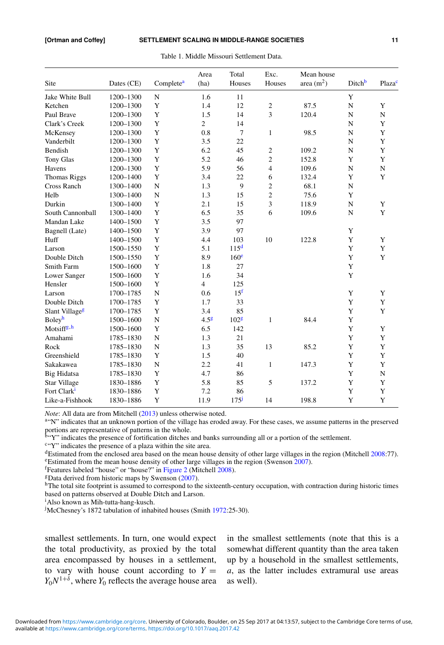### <span id="page-10-0"></span>**[Ortman and Coffey] SETTLEMENT SCALING IN MIDDLE-RANGE SOCIETIES 11**

| Site                       | Dates (CE) | Complete <sup>a</sup> | Area<br>(ha)   | Total<br>Houses  | Exc.<br>Houses | Mean house<br>area $(m2)$ | Ditchb      | Plazac      |
|----------------------------|------------|-----------------------|----------------|------------------|----------------|---------------------------|-------------|-------------|
| Jake White Bull            | 1200-1300  | $\mathbf N$           | 1.6            | 11               |                |                           | Y           |             |
| Ketchen                    | 1200-1300  | Y                     | 1.4            | 12               | $\sqrt{2}$     | 87.5                      | $\mathbf N$ | Y           |
| Paul Brave                 | 1200-1300  | Y                     | 1.5            | 14               | 3              | 120.4                     | ${\bf N}$   | ${\bf N}$   |
| Clark's Creek              | 1200-1300  | Y                     | $\overline{c}$ | 14               |                |                           | $\mathbf N$ | Y           |
| McKensey                   | 1200-1300  | Y                     | 0.8            | $\overline{7}$   | $\mathbf{1}$   | 98.5                      | $\mathbf N$ | Y           |
| Vanderbilt                 | 1200-1300  | Y                     | 3.5            | 22               |                |                           | ${\bf N}$   | Y           |
| Bendish                    | 1200-1300  | Y                     | 6.2            | 45               | $\mathfrak{2}$ | 109.2                     | $\mathbf N$ | Y           |
| <b>Tony Glas</b>           | 1200-1300  | Y                     | 5.2            | 46               | $\mathbf{2}$   | 152.8                     | Y           | Y           |
| Havens                     | 1200-1300  | Y                     | 5.9            | 56               | $\overline{4}$ | 109.6                     | ${\bf N}$   | ${\bf N}$   |
| <b>Thomas Riggs</b>        | 1200-1400  | Y                     | 3.4            | 22               | 6              | 132.4                     | Y           | Y           |
| Cross Ranch                | 1300-1400  | $\mathbf N$           | 1.3            | 9                | $\overline{c}$ | 68.1                      | N           |             |
| Helb                       | 1300-1400  | $\mathbf N$           | 1.3            | 15               | $\overline{c}$ | 75.6                      | Y           |             |
| Durkin                     | 1300-1400  | Y                     | 2.1            | 15               | 3              | 118.9                     | N           | Y           |
| South Cannonball           | 1300-1400  | Y                     | 6.5            | 35               | 6              | 109.6                     | N           | Y           |
| Mandan Lake                | 1400-1500  | Y                     | 3.5            | 97               |                |                           |             |             |
| Bagnell (Late)             | 1400-1500  | Y                     | 3.9            | 97               |                |                           | Y           |             |
| Huff                       | 1400-1500  | Y                     | 4.4            | 103              | 10             | 122.8                     | Y           | Y           |
| Larson                     | 1500-1550  | Y                     | 5.1            | 115 <sup>d</sup> |                |                           | Y           | Y           |
| Double Ditch               | 1500-1550  | Y                     | 8.9            | 160 <sup>e</sup> |                |                           | Y           | Y           |
| Smith Farm                 | 1500-1600  | Y                     | 1.8            | 27               |                |                           | Y           |             |
| <b>Lower Sanger</b>        | 1500-1600  | Y                     | 1.6            | 34               |                |                           | Y           |             |
| Hensler                    | 1500-1600  | Y                     | $\overline{4}$ | 125              |                |                           |             |             |
| Larson                     | 1700-1785  | $\mathbf N$           | 0.6            | 15 <sup>f</sup>  |                |                           | Y           | Y           |
| Double Ditch               | 1700-1785  | Y                     | 1.7            | 33               |                |                           | Y           | Y           |
| Slant Village <sup>g</sup> | 1700-1785  | Y                     | 3.4            | 85               |                |                           | Y           | Y           |
| <b>Boleyh</b>              | 1500-1600  | $\mathbf N$           | $4.5^{g}$      | 102 <sup>g</sup> | $\mathbf{1}$   | 84.4                      | Y           |             |
| Motsiff <sup>g,h</sup>     | 1500-1600  | Y                     | 6.5            | 142              |                |                           | Y           | Y           |
| Amahami                    | 1785-1830  | N                     | 1.3            | 21               |                |                           | Y           | Y           |
| Rock                       | 1785-1830  | N                     | 1.3            | 35               | 13             | 85.2                      | Y           | Y           |
| Greenshield                | 1785-1830  | Y                     | 1.5            | 40               |                |                           | Y           | Y           |
| Sakakawea                  | 1785-1830  | ${\bf N}$             | 2.2            | 41               | $\mathbf{1}$   | 147.3                     | Y           | Y           |
| <b>Big Hidatsa</b>         | 1785-1830  | Y                     | 4.7            | 86               |                |                           | Y           | $\mathbf N$ |
| Star Village               | 1830-1886  | Y                     | 5.8            | 85               | 5              | 137.2                     | Y           | Y           |
| Fort Clark <sup>i</sup>    | 1830-1886  | Y                     | 7.2            | 86               |                |                           | Y           | Y           |
| Like-a-Fishhook            | 1830-1886  | Y                     | 11.9           | 175 <sup>j</sup> | 14             | 198.8                     | Y           | Y           |

Table 1. Middle Missouri Settlement Data.

*Note*: All data are from Mitchell [\(2013\)](#page-19-0) unless otherwise noted.<br><sup>a</sup> N' indicates that an unknown portion of the village has eroded away. For these cases, we assume patterns in the preserved

portions are representative of patterns in the whole.<br><sup>b</sup>"Y" indicates the presence of fortification ditches and banks surrounding all or a portion of the settlement.

c"Y" indicates the presence of a plaza within the site area.

<sup>d</sup>Estimated from the enclosed area based on the mean house density of other large villages in the region (Mitchell [2008:](#page-19-0)77).<br>
<sup>e</sup>Estimated from the mean house density of other large villages in the region (Swenson [2007\)](#page-19-0).

 $$$ Data derived from historic maps by Swenson [\(2007\)](#page-19-0).<br>hThe total site footprint is assumed to correspond to the sixteenth-century occupation, with contraction during historic times based on patterns observed at Double Ditch and Larson.

i Also known as Mih-tutta-hang-kusch.

j McChesney's 1872 tabulation of inhabited houses (Smith [1972:](#page-19-0)25-30).

smallest settlements. In turn, one would expect the total productivity, as proxied by the total area encompassed by houses in a settlement, to vary with house count according to  $Y =$  $Y_0N^{1+\delta}$ , where  $Y_0$  reflects the average house area in the smallest settlements (note that this is a somewhat different quantity than the area taken up by a household in the smallest settlements, *a*, as the latter includes extramural use areas as well).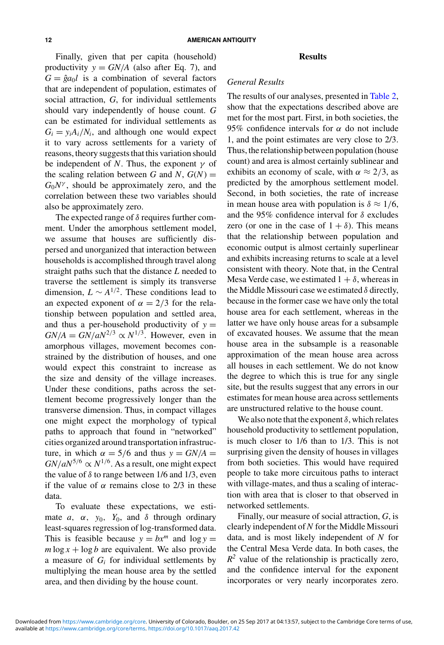Finally, given that per capita (household) productivity  $y = GN/A$  (also after Eq. 7), and  $G = \hat{g}a_0l$  is a combination of several factors that are independent of population, estimates of social attraction, *G*, for individual settlements should vary independently of house count. *G* can be estimated for individual settlements as  $G_i = y_i A_i / N_i$ , and although one would expect it to vary across settlements for a variety of reasons, theory suggests that this variation should be independent of *N*. Thus, the exponent  $\gamma$  of the scaling relation between *G* and *N*,  $G(N) =$  $G_0N^{\gamma}$ , should be approximately zero, and the correlation between these two variables should also be approximately zero.

The expected range of  $\delta$  requires further comment. Under the amorphous settlement model, we assume that houses are sufficiently dispersed and unorganized that interaction between households is accomplished through travel along straight paths such that the distance *L* needed to traverse the settlement is simply its transverse dimension,  $L \sim A^{1/2}$ . These conditions lead to an expected exponent of  $\alpha = 2/3$  for the relationship between population and settled area, and thus a per-household productivity of  $y =$  $GN/A = GN/aN^{2/3} \propto N^{1/3}$ . However, even in amorphous villages, movement becomes constrained by the distribution of houses, and one would expect this constraint to increase as the size and density of the village increases. Under these conditions, paths across the settlement become progressively longer than the transverse dimension. Thus, in compact villages one might expect the morphology of typical paths to approach that found in "networked" cities organized around transportation infrastructure, in which  $\alpha = 5/6$  and thus  $y = GN/A$  $GN/aN^{5/6} \propto N^{1/6}$ . As a result, one might expect the value of  $\delta$  to range between 1/6 and 1/3, even if the value of  $\alpha$  remains close to 2/3 in these data.

To evaluate these expectations, we estimate *a*,  $\alpha$ ,  $y_0$ ,  $Y_0$ , and  $\delta$  through ordinary least-squares regression of log-transformed data. This is feasible because  $y = bx^m$  and  $\log y =$  $m \log x + \log b$  are equivalent. We also provide a measure of  $G_i$  for individual settlements by multiplying the mean house area by the settled area, and then dividing by the house count.

#### **Results**

# *General Results*

The results of our analyses, presented in [Table 2,](#page-12-0) show that the expectations described above are met for the most part. First, in both societies, the 95% confidence intervals for  $\alpha$  do not include 1, and the point estimates are very close to 2/3. Thus, the relationship between population (house count) and area is almost certainly sublinear and exhibits an economy of scale, with  $\alpha \approx 2/3$ , as predicted by the amorphous settlement model. Second, in both societies, the rate of increase in mean house area with population is  $\delta \approx 1/6$ , and the 95% confidence interval for  $\delta$  excludes zero (or one in the case of  $1 + \delta$ ). This means that the relationship between population and economic output is almost certainly superlinear and exhibits increasing returns to scale at a level consistent with theory. Note that, in the Central Mesa Verde case, we estimated  $1 + \delta$ , whereas in the Middle Missouri case we estimated  $\delta$  directly, because in the former case we have only the total house area for each settlement, whereas in the latter we have only house areas for a subsample of excavated houses. We assume that the mean house area in the subsample is a reasonable approximation of the mean house area across all houses in each settlement. We do not know the degree to which this is true for any single site, but the results suggest that any errors in our estimates for mean house area across settlements are unstructured relative to the house count.

We also note that the exponent  $\delta$ , which relates household productivity to settlement population, is much closer to 1/6 than to 1/3. This is not surprising given the density of houses in villages from both societies. This would have required people to take more circuitous paths to interact with village-mates, and thus a scaling of interaction with area that is closer to that observed in networked settlements.

Finally, our measure of social attraction, *G*, is clearly independent of*N* for the Middle Missouri data, and is most likely independent of *N* for the Central Mesa Verde data. In both cases, the  $R^2$  value of the relationship is practically zero, and the confidence interval for the exponent incorporates or very nearly incorporates zero.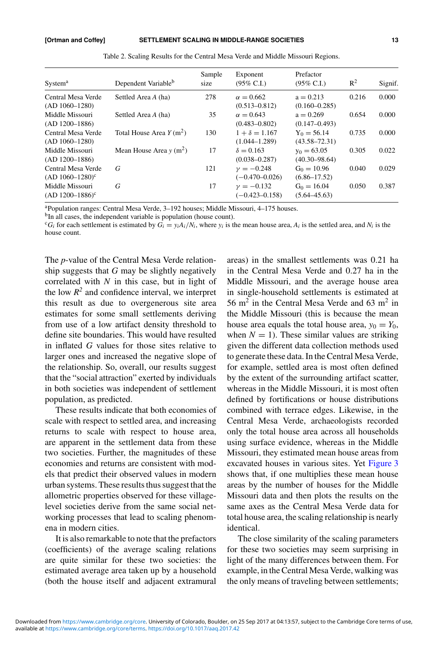#### <span id="page-12-0"></span>**[Ortman and Coffey] SETTLEMENT SCALING IN MIDDLE-RANGE SOCIETIES 13**

| System <sup>a</sup>                        | Dependent Variable <sup>b</sup>       | Sample<br>size | Exponent<br>$(95\% \text{ C.I.})$         | Prefactor<br>$(95\% \text{ C.I.})$ | $R^2$ | Signif. |
|--------------------------------------------|---------------------------------------|----------------|-------------------------------------------|------------------------------------|-------|---------|
| Central Mesa Verde<br>$(AD 1060 - 1280)$   | Settled Area $A$ (ha)                 | 278            | $\alpha = 0.662$<br>$(0.513 - 0.812)$     | $a = 0.213$<br>$(0.160 - 0.285)$   | 0.216 | 0.000   |
| Middle Missouri<br>$(AD 1200 - 1886)$      | Settled Area A (ha)                   | 35             | $\alpha = 0.643$<br>$(0.483 - 0.802)$     | $a = 0.269$<br>$(0.147 - 0.493)$   | 0.654 | 0.000   |
| Central Mesa Verde<br>$(AD 1060 - 1280)$   | Total House Area $Y(m^2)$             | 130            | $1 + \delta = 1.167$<br>$(1.044 - 1.289)$ | $Y_0 = 56.14$<br>$(43.58 - 72.31)$ | 0.735 | 0.000   |
| Middle Missouri<br>$(AD 1200 - 1886)$      | Mean House Area $y$ (m <sup>2</sup> ) | 17             | $\delta = 0.163$<br>$(0.038 - 0.287)$     | $y_0 = 63.05$<br>$(40.30 - 98.64)$ | 0.305 | 0.022   |
| Central Mesa Verde<br>$(AD 1060 - 1280)^c$ | G                                     | 121            | $\nu = -0.248$<br>$(-0.470 - 0.026)$      | $G_0 = 10.96$<br>$(6.86 - 17.52)$  | 0.040 | 0.029   |
| Middle Missouri<br>$(AD 1200 - 1886)^c$    | G                                     | 17             | $\nu = -0.132$<br>$(-0.423 - 0.158)$      | $G_0 = 16.04$<br>$(5.64 - 45.63)$  | 0.050 | 0.387   |

Table 2. Scaling Results for the Central Mesa Verde and Middle Missouri Regions.

aPopulation ranges: Central Mesa Verde, 3–192 houses; Middle Missouri, 4–175 houses.

<sup>b</sup>In all cases, the independent variable is population (house count).

 ${}^cG_i$  for each settlement is estimated by  $G_i = y_i A_i/N_i$ , where  $y_i$  is the mean house area,  $A_i$  is the settled area, and  $N_i$  is the house count.

The *p*-value of the Central Mesa Verde relationship suggests that *G* may be slightly negatively correlated with *N* in this case, but in light of the low  $R^2$  and confidence interval, we interpret this result as due to overgenerous site area estimates for some small settlements deriving from use of a low artifact density threshold to define site boundaries. This would have resulted in inflated *G* values for those sites relative to larger ones and increased the negative slope of the relationship. So, overall, our results suggest that the "social attraction" exerted by individuals in both societies was independent of settlement population, as predicted.

These results indicate that both economies of scale with respect to settled area, and increasing returns to scale with respect to house area, are apparent in the settlement data from these two societies. Further, the magnitudes of these economies and returns are consistent with models that predict their observed values in modern urban systems. These results thus suggest that the allometric properties observed for these villagelevel societies derive from the same social networking processes that lead to scaling phenomena in modern cities.

It is also remarkable to note that the prefactors (coefficients) of the average scaling relations are quite similar for these two societies: the estimated average area taken up by a household (both the house itself and adjacent extramural

areas) in the smallest settlements was 0.21 ha in the Central Mesa Verde and 0.27 ha in the Middle Missouri, and the average house area in single-household settlements is estimated at 56 m<sup>2</sup> in the Central Mesa Verde and 63 m<sup>2</sup> in the Middle Missouri (this is because the mean house area equals the total house area,  $y_0 = Y_0$ , when  $N = 1$ ). These similar values are striking given the different data collection methods used to generate these data. In the Central Mesa Verde, for example, settled area is most often defined by the extent of the surrounding artifact scatter, whereas in the Middle Missouri, it is most often defined by fortifications or house distributions combined with terrace edges. Likewise, in the Central Mesa Verde, archaeologists recorded only the total house area across all households using surface evidence, whereas in the Middle Missouri, they estimated mean house areas from excavated houses in various sites. Yet [Figure 3](#page-13-0) shows that, if one multiplies these mean house areas by the number of houses for the Middle Missouri data and then plots the results on the same axes as the Central Mesa Verde data for total house area, the scaling relationship is nearly identical.

The close similarity of the scaling parameters for these two societies may seem surprising in light of the many differences between them. For example, in the Central Mesa Verde, walking was the only means of traveling between settlements;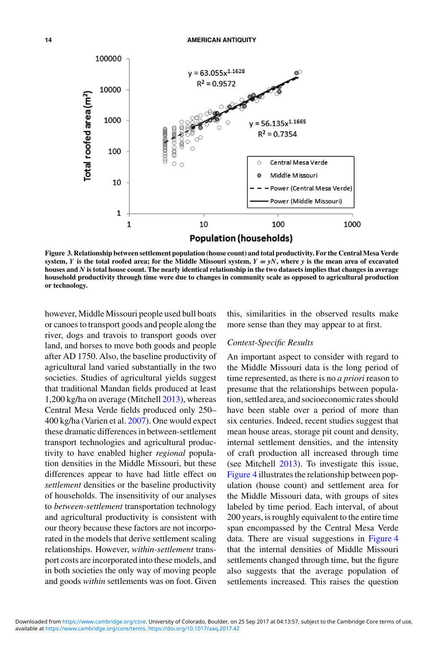<span id="page-13-0"></span>

**Figure 3. Relationship between settlement population (house count) and total productivity. For the Central Mesa Verde system,** *Y* **is the total roofed area; for the Middle Missouri system,** *Y* **=** *yN***, where** *y* **is the mean area of excavated houses and** *N* **is total house count. The nearly identical relationship in the two datasets implies that changes in average household productivity through time were due to changes in community scale as opposed to agricultural production or technology.**

however, Middle Missouri people used bull boats or canoes to transport goods and people along the river, dogs and travois to transport goods over land, and horses to move both goods and people after AD 1750. Also, the baseline productivity of agricultural land varied substantially in the two societies. Studies of agricultural yields suggest that traditional Mandan fields produced at least 1,200 kg/ha on average (Mitchell [2013\)](#page-19-0), whereas Central Mesa Verde fields produced only 250– 400 kg/ha (Varien et al. [2007\)](#page-19-0). One would expect these dramatic differences in between-settlement transport technologies and agricultural productivity to have enabled higher *regional* population densities in the Middle Missouri, but these differences appear to have had little effect on *settlement* densities or the baseline productivity of households. The insensitivity of our analyses to *between-settlement* transportation technology and agricultural productivity is consistent with our theory because these factors are not incorporated in the models that derive settlement scaling relationships. However, *within-settlement* transport costs are incorporated into these models, and in both societies the only way of moving people and goods *within* settlements was on foot. Given

this, similarities in the observed results make more sense than they may appear to at first.

# *Context-Specific Results*

An important aspect to consider with regard to the Middle Missouri data is the long period of time represented, as there is no *a priori* reason to presume that the relationships between population, settled area, and socioeconomic rates should have been stable over a period of more than six centuries. Indeed, recent studies suggest that mean house areas, storage pit count and density, internal settlement densities, and the intensity of craft production all increased through time (see Mitchell [2013\)](#page-19-0). To investigate this issue, [Figure 4](#page-14-0) illustrates the relationship between population (house count) and settlement area for the Middle Missouri data, with groups of sites labeled by time period. Each interval, of about 200 years, is roughly equivalent to the entire time span encompassed by the Central Mesa Verde data. There are visual suggestions in [Figure 4](#page-14-0) that the internal densities of Middle Missouri settlements changed through time, but the figure also suggests that the average population of settlements increased. This raises the question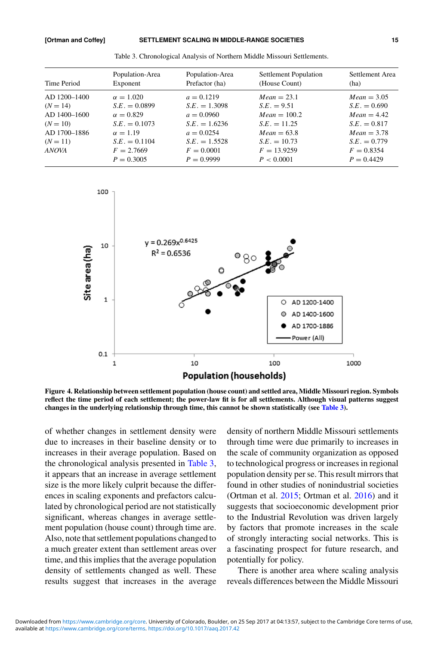#### <span id="page-14-0"></span>**[Ortman and Coffey] SETTLEMENT SCALING IN MIDDLE-RANGE SOCIETIES 15**

| Time Period<br>AD 1200-1400 |                             |                                   |                                               |                         |
|-----------------------------|-----------------------------|-----------------------------------|-----------------------------------------------|-------------------------|
|                             | Population-Area<br>Exponent | Population-Area<br>Prefactor (ha) | <b>Settlement Population</b><br>(House Count) | Settlement Area<br>(ha) |
|                             | $\alpha = 1.020$            | $a = 0.1219$                      | $Mean = 23.1$                                 | $Mean = 3.05$           |
| $(N = 14)$                  | $S.E. = 0.0899$             | $S.E. = 1.3098$                   | $S.E. = 9.51$                                 | $S.E. = 0.690$          |
| AD 1400-1600                | $\alpha = 0.829$            | $a = 0.0960$                      | $Mean = 100.2$                                | $Mean = 4.42$           |
| $(N = 10)$                  | $S.E. = 0.1073$             | $S.E. = 1.6236$                   | $S.E. = 11.25$                                | $S.E. = 0.817$          |
| AD 1700-1886                | $\alpha = 1.19$             | $a = 0.0254$                      | $Mean = 63.8$                                 | $Mean = 3.78$           |
| $(N = 11)$                  | $S.E. = 0.1104$             | $S.E. = 1.5528$                   | $S.E. = 10.73$                                | $S.E. = 0.779$          |
| <b>ANOVA</b>                | $F = 2.7669$                | $F = 0.0001$                      | $F = 13.9259$                                 | $F = 0.8354$            |
|                             | $P = 0.3005$                | $P = 0.9999$                      | P < 0.0001                                    | $P = 0.4429$            |

Table 3. Chronological Analysis of Northern Middle Missouri Settlements.



**Figure 4. Relationship between settlement population (house count) and settled area, Middle Missouri region. Symbols reflect the time period of each settlement; the power-law fit is for all settlements. Although visual patterns suggest changes in the underlying relationship through time, this cannot be shown statistically (see Table 3).**

of whether changes in settlement density were due to increases in their baseline density or to increases in their average population. Based on the chronological analysis presented in Table 3, it appears that an increase in average settlement size is the more likely culprit because the differences in scaling exponents and prefactors calculated by chronological period are not statistically significant, whereas changes in average settlement population (house count) through time are. Also, note that settlement populations changed to a much greater extent than settlement areas over time, and this implies that the average population density of settlements changed as well. These results suggest that increases in the average

density of northern Middle Missouri settlements through time were due primarily to increases in the scale of community organization as opposed to technological progress or increases in regional population density per se. This result mirrors that found in other studies of nonindustrial societies (Ortman et al. [2015;](#page-19-0) Ortman et al. [2016\)](#page-19-0) and it suggests that socioeconomic development prior to the Industrial Revolution was driven largely by factors that promote increases in the scale of strongly interacting social networks. This is a fascinating prospect for future research, and potentially for policy.

There is another area where scaling analysis reveals differences between the Middle Missouri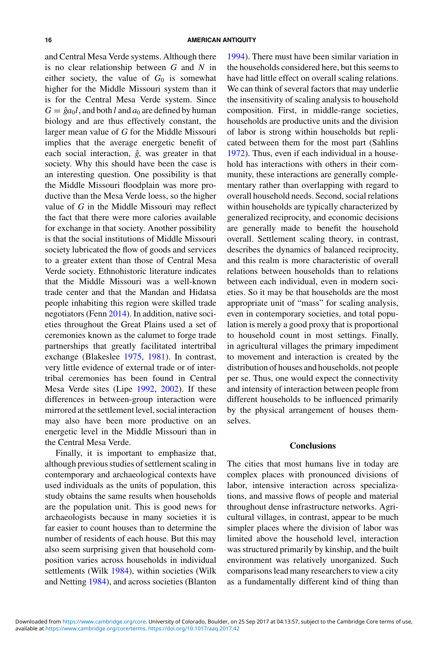and Central Mesa Verde systems. Although there is no clear relationship between *G* and *N* in either society, the value of  $G_0$  is somewhat higher for the Middle Missouri system than it is for the Central Mesa Verde system. Since  $G = \hat{g}a_0l$ , and both *l* and  $a_0$  are defined by human biology and are thus effectively constant, the larger mean value of *G* for the Middle Missouri implies that the average energetic benefit of each social interaction,  $\hat{g}$ , was greater in that society. Why this should have been the case is an interesting question. One possibility is that the Middle Missouri floodplain was more productive than the Mesa Verde loess, so the higher value of *G* in the Middle Missouri may reflect the fact that there were more calories available for exchange in that society. Another possibility is that the social institutions of Middle Missouri society lubricated the flow of goods and services to a greater extent than those of Central Mesa Verde society. Ethnohistoric literature indicates that the Middle Missouri was a well-known trade center and that the Mandan and Hidatsa people inhabiting this region were skilled trade negotiators (Fenn [2014\)](#page-18-0). In addition, native societies throughout the Great Plains used a set of ceremonies known as the calumet to forge trade partnerships that greatly facilitated intertribal exchange (Blakeslee [1975,](#page-17-0) [1981\)](#page-17-0). In contrast, very little evidence of external trade or of intertribal ceremonies has been found in Central Mesa Verde sites (Lipe [1992,](#page-18-0) [2002\)](#page-18-0). If these differences in between-group interaction were mirrored at the settlement level, social interaction may also have been more productive on an energetic level in the Middle Missouri than in the Central Mesa Verde.

Finally, it is important to emphasize that, although previous studies of settlement scaling in contemporary and archaeological contexts have used individuals as the units of population, this study obtains the same results when households are the population unit. This is good news for archaeologists because in many societies it is far easier to count houses than to determine the number of residents of each house. But this may also seem surprising given that household composition varies across households in individual settlements (Wilk [1984\)](#page-20-0), within societies (Wilk and Netting [1984\)](#page-20-0), and across societies (Blanton

[1994\)](#page-17-0). There must have been similar variation in the households considered here, but this seems to have had little effect on overall scaling relations. We can think of several factors that may underlie the insensitivity of scaling analysis to household composition. First, in middle-range societies, households are productive units and the division of labor is strong within households but replicated between them for the most part (Sahlins [1972\)](#page-19-0). Thus, even if each individual in a household has interactions with others in their community, these interactions are generally complementary rather than overlapping with regard to overall household needs. Second, social relations within households are typically characterized by generalized reciprocity, and economic decisions are generally made to benefit the household overall. Settlement scaling theory, in contrast, describes the dynamics of balanced reciprocity, and this realm is more characteristic of overall relations between households than to relations between each individual, even in modern societies. So it may be that households are the most appropriate unit of "mass" for scaling analysis, even in contemporary societies, and total population is merely a good proxy that is proportional to household count in most settings. Finally, in agricultural villages the primary impediment to movement and interaction is created by the distribution of houses and households, not people per se. Thus, one would expect the connectivity and intensity of interaction between people from different households to be influenced primarily by the physical arrangement of houses themselves.

### **Conclusions**

The cities that most humans live in today are complex places with pronounced divisions of labor, intensive interaction across specializations, and massive flows of people and material throughout dense infrastructure networks. Agricultural villages, in contrast, appear to be much simpler places where the division of labor was limited above the household level, interaction was structured primarily by kinship, and the built environment was relatively unorganized. Such comparisons lead many researchers to view a city as a fundamentally different kind of thing than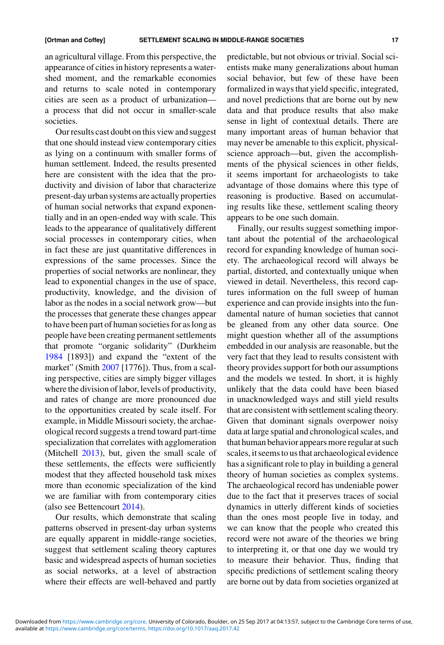an agricultural village. From this perspective, the appearance of cities in history represents a watershed moment, and the remarkable economies and returns to scale noted in contemporary cities are seen as a product of urbanization a process that did not occur in smaller-scale societies.

Our results cast doubt on this view and suggest that one should instead view contemporary cities as lying on a continuum with smaller forms of human settlement. Indeed, the results presented here are consistent with the idea that the productivity and division of labor that characterize present-day urban systems are actually properties of human social networks that expand exponentially and in an open-ended way with scale. This leads to the appearance of qualitatively different social processes in contemporary cities, when in fact these are just quantitative differences in expressions of the same processes. Since the properties of social networks are nonlinear, they lead to exponential changes in the use of space, productivity, knowledge, and the division of labor as the nodes in a social network grow—but the processes that generate these changes appear to have been part of human societies for as long as people have been creating permanent settlements that promote "organic solidarity" (Durkheim [1984](#page-18-0) [1893]) and expand the "extent of the market" (Smith [2007](#page-19-0) [1776]). Thus, from a scaling perspective, cities are simply bigger villages where the division of labor, levels of productivity, and rates of change are more pronounced due to the opportunities created by scale itself. For example, in Middle Missouri society, the archaeological record suggests a trend toward part-time specialization that correlates with agglomeration (Mitchell [2013\)](#page-19-0), but, given the small scale of these settlements, the effects were sufficiently modest that they affected household task mixes more than economic specialization of the kind we are familiar with from contemporary cities (also see Bettencourt [2014\)](#page-17-0).

Our results, which demonstrate that scaling patterns observed in present-day urban systems are equally apparent in middle-range societies, suggest that settlement scaling theory captures basic and widespread aspects of human societies as social networks, at a level of abstraction where their effects are well-behaved and partly predictable, but not obvious or trivial. Social scientists make many generalizations about human social behavior, but few of these have been formalized in ways that yield specific, integrated, and novel predictions that are borne out by new data and that produce results that also make sense in light of contextual details. There are many important areas of human behavior that may never be amenable to this explicit, physicalscience approach—but, given the accomplishments of the physical sciences in other fields, it seems important for archaeologists to take advantage of those domains where this type of reasoning is productive. Based on accumulating results like these, settlement scaling theory appears to be one such domain.

Finally, our results suggest something important about the potential of the archaeological record for expanding knowledge of human society. The archaeological record will always be partial, distorted, and contextually unique when viewed in detail. Nevertheless, this record captures information on the full sweep of human experience and can provide insights into the fundamental nature of human societies that cannot be gleaned from any other data source. One might question whether all of the assumptions embedded in our analysis are reasonable, but the very fact that they lead to results consistent with theory provides support for both our assumptions and the models we tested. In short, it is highly unlikely that the data could have been biased in unacknowledged ways and still yield results that are consistent with settlement scaling theory. Given that dominant signals overpower noisy data at large spatial and chronological scales, and that human behavior appears more regular at such scales, it seems to us that archaeological evidence has a significant role to play in building a general theory of human societies as complex systems. The archaeological record has undeniable power due to the fact that it preserves traces of social dynamics in utterly different kinds of societies than the ones most people live in today, and we can know that the people who created this record were not aware of the theories we bring to interpreting it, or that one day we would try to measure their behavior. Thus, finding that specific predictions of settlement scaling theory are borne out by data from societies organized at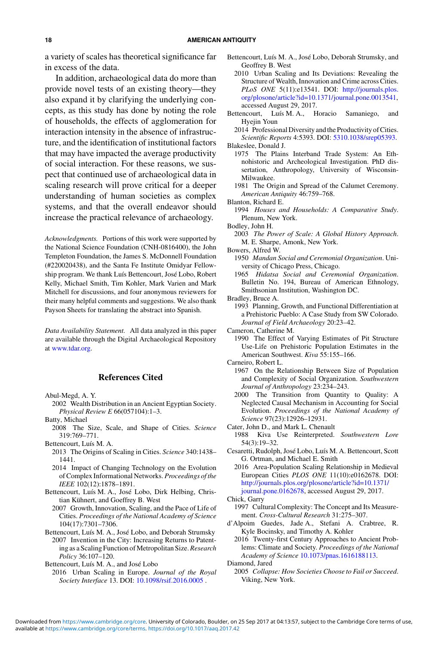<span id="page-17-0"></span>a variety of scales has theoretical significance far in excess of the data.

In addition, archaeological data do more than provide novel tests of an existing theory—they also expand it by clarifying the underlying concepts, as this study has done by noting the role of households, the effects of agglomeration for interaction intensity in the absence of infrastructure, and the identification of institutional factors that may have impacted the average productivity of social interaction. For these reasons, we suspect that continued use of archaeological data in scaling research will prove critical for a deeper understanding of human societies as complex systems, and that the overall endeavor should increase the practical relevance of archaeology.

*Acknowledgments.* Portions of this work were supported by the National Science Foundation (CNH-0816400), the John Templeton Foundation, the James S. McDonnell Foundation (#220020438), and the Santa Fe Institute Omidyar Fellowship program. We thank Luís Bettencourt, José Lobo, Robert Kelly, Michael Smith, Tim Kohler, Mark Varien and Mark Mitchell for discussions, and four anonymous reviewers for their many helpful comments and suggestions. We also thank Payson Sheets for translating the abstract into Spanish.

*Data Availability Statement.* All data analyzed in this paper are available through the Digital Archaeological Repository at [www.tdar.org.](http://www.tdar.org)

# **References Cited**

Abul-Megd, A. Y.

2002 Wealth Distribution in an Ancient Egyptian Society. *Physical Review E* 66(057104):1–3.

Batty, Michael

2008 The Size, Scale, and Shape of Cities. *Science* 319:769–771.

Bettencourt, Luís M. A.

- 2013 The Origins of Scaling in Cities. *Science* 340:1438– 1441.
- 2014 Impact of Changing Technology on the Evolution of Complex Informational Networks. *Proceedings of the IEEE* 102(12):1878–1891.
- Bettencourt, Luís M. A., José Lobo, Dirk Helbing, Christian Kühnert, and Goeffrey B. West
- 2007 Growth, Innovation, Scaling, and the Pace of Life of Cities. *Proceedings of the National Academy of Science* 104(17):7301–7306.
- Bettencourt, Luís M. A., José Lobo, and Deborah Strumsky 2007 Invention in the City: Increasing Returns to Patenting as a Scaling Function of Metropolitan Size.*Research Policy* 36:107–120.

Bettencourt, Luís M. A., and José Lobo

2016 Urban Scaling in Europe. *Journal of the Royal Society Interface* 13. DOI: [10.1098/rsif.2016.0005](https://doi.org/10.1098/rsif.2016.0005) .

- Bettencourt, Luís M. A., José Lobo, Deborah Strumsky, and Geoffrey B. West
- 2010 Urban Scaling and Its Deviations: Revealing the Structure of Wealth, Innovation and Crime across Cities. *PLoS ONE* 5(11):e13541. DOI: http://journals.plos. [org/plosone/article?id=10.1371/journal.pone.0013541,](http://journals.plos.org/plosone/article?id=10.1371/journal.pone.0013541) accessed August 29, 2017.
- Bettencourt, Luís M. A., Horacio Samaniego, and Hyejin Youn
- 2014 Professional Diversity and the Productivity of Cities. *Scientific Reports* 4:5393. DOI: [5310.1038/srep05393.](https://doi.org/5310.1038/srep05393) Blakeslee, Donald J.
	- 1975 The Plains Interband Trade System: An Eth-
	- nohistoric and Archeological Investigation. PhD dissertation, Anthropology, University of Wisconsin-Milwaukee.
	- 1981 The Origin and Spread of the Calumet Ceremony. *American Antiquity* 46:759–768.
- Blanton, Richard E.
- 1994 *Houses and Households: A Comparative Study*. Plenum, New York.
- Bodley, John H.
	- 2003 *The Power of Scale: A Global History Approach*. M. E. Sharpe, Amonk, New York.
- Bowers, Alfred W.
	- 1950 *Mandan Social and Ceremonial Organization*. University of Chicago Press, Chicago.
	- 1965 *Hidatsa Social and Ceremonial Organization*. Bulletin No. 194, Bureau of American Ethnology, Smithsonian Institution, Washington DC.

Bradley, Bruce A.

1993 Planning, Growth, and Functional Differentiation at a Prehistoric Pueblo: A Case Study from SW Colorado. *Journal of Field Archaeology* 20:23–42.

Cameron, Catherine M.

1990 The Effect of Varying Estimates of Pit Structure Use-Life on Prehistoric Population Estimates in the American Southwest. *Kiva* 55:155–166.

Carneiro, Robert L.

- 1967 On the Relationship Between Size of Population and Complexity of Social Organization. *Southwestern Journal of Anthropology* 23:234–243.
- 2000 The Transition from Quantity to Quality: A Neglected Causal Mechanism in Accounting for Social Evolution. *Proceedings of the National Academy of Science* 97(23):12926–12931.

Cater, John D., and Mark L. Chenault

- 1988 Kiva Use Reinterpreted. *Southwestern Lore* 54(3):19–32.
- Cesaretti, Rudolph, José Lobo, Luís M. A. Bettencourt, Scott G. Ortman, and Michael E. Smith
	- 2016 Area-Population Scaling Relationship in Medieval European Cities *PLOS ONE* 11(10):e0162678. DOI: [http://journals.plos.org/plosone/article?id=10.1371/](http://journals.plos.org/plosone/article?id=10.1371/journal.pone.0162678) journal.pone.0162678, accessed August 29, 2017.

Chick, Garry

- 1997 Cultural Complexity: The Concept and Its Measurement. *Cross-Cultural Research* 31:275–307.
- d'Alpoim Guedes, Jade A., Stefani A. Crabtree, R. Kyle Bocinsky, and Timothy A. Kohler
- 2016 Twenty-first Century Approaches to Ancient Problems: Climate and Society. *Proceedings of the National Academy of Science* [10.1073/pnas.1616188113.](https://doi.org/10.1073/pnas.1616188113) Diamond, Jared

2005 *Collapse: How Societies Choose to Fail or Succeed*. Viking, New York.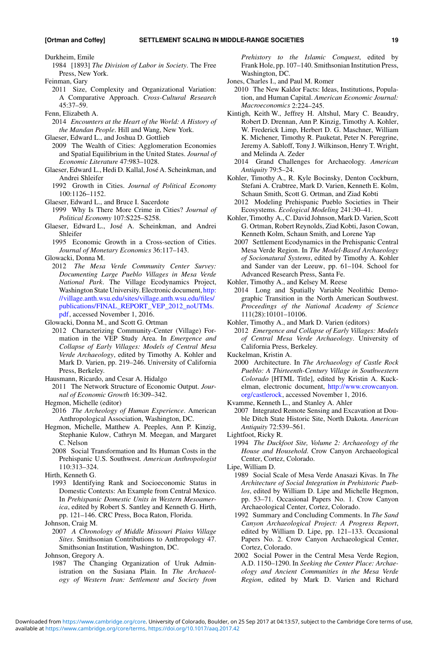<span id="page-18-0"></span>Durkheim, Emile

- 1984 [1893] *The Division of Labor in Society*. The Free Press, New York.
- Feinman, Gary
	- 2011 Size, Complexity and Organizational Variation: A Comparative Approach. *Cross-Cultural Research* 45:37–59.
- Fenn, Elizabeth A.
- 2014 *Encounters at the Heart of the World: A History of the Mandan People*. Hill and Wang, New York. Glaeser, Edward L., and Joshua D. Gottlieb
- 2009 The Wealth of Cities: Agglomeration Economies and Spatial Equilibrium in the United States. *Journal of Economic Literature* 47:983–1028.
- Glaeser, Edward L., Hedi D. Kallal, José A. Scheinkman, and Andrei Shleifer
- 1992 Growth in Cities. *Journal of Political Economy* 100:1126–1152.
- Glaeser, Edward L., and Bruce I. Sacerdote
- 1999 Why Is There More Crime in Cities? *Journal of Political Economy* 107:S225–S258.
- Glaeser, Edward L., José A. Scheinkman, and Andrei Shleifer

1995 Economic Growth in a Cross-section of Cities. *Journal of Monetary Economics* 36:117–143.

- Glowacki, Donna M.
- 2012 *The Mesa Verde Community Center Survey: Documenting Large Pueblo Villages in Mesa Verde National Park*. The Village Ecodynamics Project, Washington State University. Electronic document, http: [//village.anth.wsu.edu/sites/village.anth.wsu.edu/files/](http://village.anth.wsu.edu/sites/village.anth.wsu.edu/files/publications/FINAL_REPORT_VEP_2012_noUTMs.pdf) publications/FINAL\_REPORT\_VEP\_2012\_noUTMs. pdf, accessed November 1, 2016.

Glowacki, Donna M., and Scott G. Ortman

2012 Characterizing Community-Center (Village) Formation in the VEP Study Area. In *Emergence and Collapse of Early Villages: Models of Central Mesa Verde Archaeology*, edited by Timothy A. Kohler and Mark D. Varien, pp. 219–246. University of California Press, Berkeley.

Hausmann, Ricardo, and Cesar A. Hidalgo

- 2011 The Network Structure of Economic Output. *Journal of Economic Growth* 16:309–342.
- Hegmon, Michelle (editor)

2016 *The Archeology of Human Experience*. American Anthropological Association, Washington, DC.

- Hegmon, Michelle, Matthew A. Peeples, Ann P. Kinzig, Stephanie Kulow, Cathryn M. Meegan, and Margaret C. Nelson
	- 2008 Social Transformation and Its Human Costs in the Prehispanic U.S. Southwest. *American Anthropologist* 110:313–324.

- 1993 Identifying Rank and Socioeconomic Status in Domestic Contexts: An Example from Central Mexico. In *Prehispanic Domestic Units in Western Mesoamerica*, edited by Robert S. Santley and Kenneth G. Hirth, pp. 121–146. CRC Press, Boca Raton, Florida.
- Johnson, Craig M.
- 2007 *A Chronology of Middle Missouri Plains Village Sites*. Smithsonian Contributions to Anthropology 47. Smithsonian Institution, Washington, DC.

Johnson, Gregory A.

1987 The Changing Organization of Uruk Administration on the Susiana Plain. In *The Archaeology of Western Iran: Settlement and Society from* *Prehistory to the Islamic Conquest*, edited by Frank Hole, pp. 107–140. Smithsonian Institution Press, Washington, DC.

- Jones, Charles I., and Paul M. Romer
- 2010 The New Kaldor Facts: Ideas, Institutions, Population, and Human Capital. *American Economic Journal: Macroeconomics* 2:224–245.
- Kintigh, Keith W., Jeffrey H. Altshul, Mary C. Beaudry, Robert D. Drennan, Ann P. Kinzig, Timothy A. Kohler, W. Frederick Limp, Herbert D. G. Maschner, William K. Michener, Timothy R. Pauketat, Peter N. Peregrine, Jeremy A. Sabloff, Tony J. Wilkinson, Henry T. Wright, and Melinda A. Zeder
- 2014 Grand Challenges for Archaeology. *American Antiquity* 79:5–24.
- Kohler, Timothy A., R. Kyle Bocinsky, Denton Cockburn, Stefani A. Crabtree, Mark D. Varien, Kenneth E. Kolm, Schaun Smith, Scott G. Ortman, and Ziad Kobti
- 2012 Modeling Prehispanic Pueblo Societies in Their Ecosystems. *Ecological Modeling* 241:30–41.
- Kohler, Timothy A., C. David Johnson, Mark D. Varien, Scott G. Ortman, Robert Reynolds, Ziad Kobti, Jason Cowan, Kenneth Kolm, Schaun Smith, and Lorene Yap
- 2007 Settlement Ecodynamics in the Prehispanic Central Mesa Verde Region. In *The Model-Based Archaeology of Socionatural Systems*, edited by Timothy A. Kohler and Sander van der Leeuw, pp. 61–104. School for Advanced Research Press, Santa Fe.
- Kohler, Timothy A., and Kelsey M. Reese
- 2014 Long and Spatially Variable Neolithic Demographic Transition in the North American Southwest. *Proceedings of the National Academy of Science* 111(28):10101–10106.
- Kohler, Timothy A., and Mark D. Varien (editors)
- 2012 *Emergence and Collapse of Early Villages: Models of Central Mesa Verde Archaeology*. University of California Press, Berkeley.

2000 Architecture. In *The Archaeology of Castle Rock Pueblo: A Thirteenth-Century Village in Southwestern Colorado* [HTML Title], edited by Kristin A. Kuckelman, electronic document, http://www.crowcanyon. [org/castlerock, accessed November 1, 2016.](http://www.crowcanyon.org/castlerock)

Kvamme, Kenneth L., and Stanley A. Ahler

2007 Integrated Remote Sensing and Excavation at Double Ditch State Historic Site, North Dakota. *American Antiquity* 72:539–561.

1994 *The Duckfoot Site, Volume 2: Archaeology of the House and Household*. Crow Canyon Archaeological Center, Cortez, Colorado.

- 1989 Social Scale of Mesa Verde Anasazi Kivas. In *The Architecture of Social Integration in Prehistoric Pueblos*, edited by William D. Lipe and Michelle Hegmon, pp. 53–71. Occasional Papers No. 1. Crow Canyon Archaeological Center, Cortez, Colorado.
- 1992 Summary and Concluding Comments. In *The Sand Canyon Archaeological Project: A Progress Report*, edited by William D. Lipe, pp. 121–133. Occasional Papers No. 2. Crow Canyon Archaeological Center, Cortez, Colorado.
- 2002 Social Power in the Central Mesa Verde Region, A.D. 1150–1290. In *Seeking the Center Place: Archaeology and Ancient Communities in the Mesa Verde Region*, edited by Mark D. Varien and Richard

Hirth, Kenneth G.

Kuckelman, Kristin A.

Lightfoot, Ricky R.

Lipe, William D.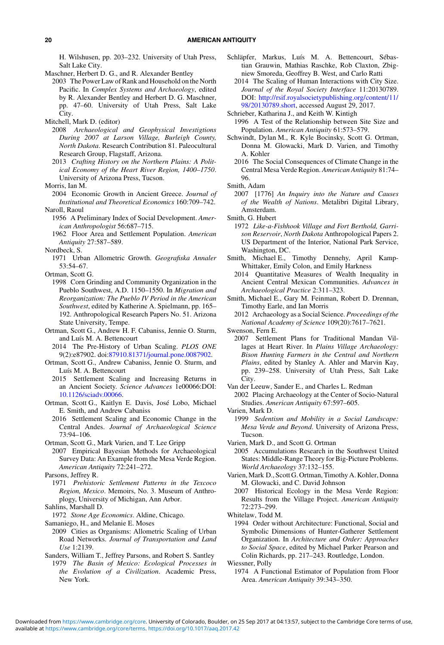<span id="page-19-0"></span>H. Wilshusen, pp. 203–232. University of Utah Press, Salt Lake City.

- Maschner, Herbert D. G., and R. Alexander Bentley
	- 2003 The Power Law of Rank and Household on the North Pacific. In *Complex Systems and Archaeology*, edited by R. Alexander Bentley and Herbert D. G. Maschner, pp. 47–60. University of Utah Press, Salt Lake City.
- Mitchell, Mark D. (editor)
	- 2008 *Archaeological and Geophysical Investigtions During 2007 at Larson Village, Burleigh County, North Dakota*. Research Contribution 81. Paleocultural Research Group, Flagstaff, Arizona.
	- 2013 *Crafting History on the Northern Plains: A Political Economy of the Heart River Region, 1400–1750*. University of Arizona Press, Tucson.

Morris, Ian M.

- 2004 Economic Growth in Ancient Greece. *Journal of Institutional and Theoretical Economics* 160:709–742. Naroll, Raoul
	- 1956 A Preliminary Index of Social Development. *American Anthropologist* 56:687–715.
	- 1962 Floor Area and Settlement Population. *American Antiquity* 27:587–589.

Nordbeck, S.

1971 Urban Allometric Growth. *Geografiska Annaler* 53:54–67.

Ortman, Scott G.

- 1998 Corn Grinding and Community Organization in the Pueblo Southwest, A.D. 1150–1550. In *Migration and Reorganization: The Pueblo IV Period in the American Southwest*, edited by Katherine A. Spielmann, pp. 165– 192. Anthropological Research Papers No. 51. Arizona State University, Tempe.
- Ortman, Scott G., Andrew H. F. Cabaniss, Jennie O. Sturm, and Luís M. A. Bettencourt
- 2014 The Pre-History of Urban Scaling. *PLOS ONE* 9(2):e87902. doi[:87910.81371/journal.pone.0087902.](https://doi.org/87910.81371/journal.pone.0087902)
- Ortman, Scott G., Andrew Cabaniss, Jennie O. Sturm, and Luís M. A. Bettencourt
	- 2015 Settlement Scaling and Increasing Returns in an Ancient Society. *Science Advances* 1e00066:DOI: [10.1126/sciadv.00066.](https://doi.org/10.1126/sciadv.00066)
- Ortman, Scott G., Kaitlyn E. Davis, José Lobo, Michael E. Smith, and Andrew Cabaniss
	- 2016 Settlement Scaling and Economic Change in the Central Andes. *Journal of Archaeological Science* 73:94–106.

Ortman, Scott G., Mark Varien, and T. Lee Gripp

2007 Empirical Bayesian Methods for Archaeological Survey Data: An Example from the Mesa Verde Region. *American Antiquity* 72:241–272.

Parsons, Jeffrey R.

1971 *Prehistoric Settlement Patterns in the Texcoco Region, Mexico*. Memoirs, No. 3. Museum of Anthroplogy, University of Michigan, Ann Arbor.

Sahlins, Marshall D.

1972 *Stone Age Economics*. Aldine, Chicago.

- Samaniego, H., and Melanie E. Moses
- 2009 Cities as Organisms: Allometric Scaling of Urban Road Networks. *Journal of Transportation and Land Use* 1:2139.
- Sanders, William T., Jeffrey Parsons, and Robert S. Santley 1979 *The Basin of Mexico: Ecological Processes in the Evolution of a Civilization*. Academic Press, New York.
- Schläpfer, Markus, Luís M. A. Bettencourt, Sébastian Grauwin, Mathias Raschke, Rob Claxton, Zbigniew Smoreda, Geoffrey B. West, and Carlo Ratti
	- 2014 The Scaling of Human Interactions with City Size. *Journal of the Royal Society Interface* 11:20130789. DOI: [http://rsif.royalsocietypublishing.org/content/11/](http://rsif.royalsocietypublishing.org/content/11/98/20130789.short) 98/20130789.short, accessed August 29, 2017.

Schrieber, Katharina J., and Keith W. Kintigh

- 1996 A Test of the Relationship between Site Size and Population. *American Antiquity* 61:573–579.
- Schwindt, Dylan M., R. Kyle Bocinsky, Scott G. Ortman, Donna M. Glowacki, Mark D. Varien, and Timothy A. Kohler
	- 2016 The Social Consequences of Climate Change in the Central Mesa Verde Region. *American Antiquity* 81:74– 96.

Smith, Adam

- 2007 [1776] *An Inquiry into the Nature and Causes of the Wealth of Nations*. Metalibri Digital Library, Amsterdam.
- Smith, G. Hubert
	- 1972 *Like-a-Fishhook Village and Fort Berthold, Garrison Reservoir*, *North Dakota* Anthropological Papers 2. US Department of the Interior, National Park Service, Washington, DC.
- Smith, Michael E., Timothy Dennehy, April Kamp-Whittaker, Emily Colon, and Emily Harkness
	- 2014 Quantitative Measures of Wealth Inequality in Ancient Central Mexican Communities. *Advances in Archaeological Practice* 2:311–323.
- Smith, Michael E., Gary M. Feinman, Robert D. Drennan, Timothy Earle, and Ian Morris

2012 Archaeology as a Social Science. *Proceedings of the National Academy of Science* 109(20):7617–7621.

Swenson, Fern E.

- 2007 Settlement Plans for Traditional Mandan Villages at Heart River. In *Plains Village Archaeology: Bison Hunting Farmers in the Central and Northern Plains*, edited by Stanley A. Ahler and Marvin Kay, pp. 239–258. University of Utah Press, Salt Lake City.
- Van der Leeuw, Sander E., and Charles L. Redman
- 2002 Placing Archaeology at the Center of Socio-Natural Studies. *American Antiquity* 67:597–605.
- Varien, Mark D.
	- 1999 *Sedentism and Mobility in a Social Landscape: Mesa Verde and Beyond*. University of Arizona Press, Tucson.

Varien, Mark D., and Scott G. Ortman

2005 Accumulations Research in the Southwest United States: Middle-Range Theory for Big-Picture Problems. *World Archaeology* 37:132–155.

- Varien, Mark D., Scott G. Ortman, Timothy A. Kohler, Donna M. Glowacki, and C. David Johnson
	- 2007 Historical Ecology in the Mesa Verde Region: Results from the Village Project. *American Antiquity* 72:273–299.
- Whitelaw, Todd M.

1994 Order without Architecture: Functional, Social and Symbolic Dimensions of Hunter-Gatherer Settlement Organization. In *Architecture and Order: Approaches to Social Space*, edited by Michael Parker Pearson and Colin Richards, pp. 217–243. Routledge, London.

Wiessner, Polly

1974 A Functional Estimator of Population from Floor Area. *American Antiquity* 39:343–350.